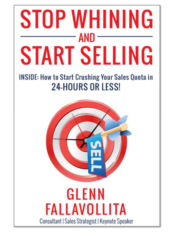# STOP WHINING **AND START SELLING**

# **INSIDE: How to Start Crushing Your Sales Quota in 24-HOURS OR LESS!**



Consultant | Sales Strategist | Keynote Speaker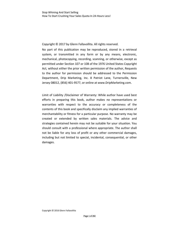Copyright © 2017 by Glenn Fallavollita. All rights reserved.

No part of this publication may be reproduced, stored in a retrieval system, or transmitted in any form or by any means, electronic, mechanical, photocopying, recording, scanning, or otherwise, except as permitted under Section 107 or 108 of the 1976 United States Copyright Act, without either the prior written permission of the author, Requests to the author for permission should be addressed to the Permission Department, Drip Marketing, Inc. 8 Patriot Lane, Turnersville, New Jersey 08012, (856) 401‐9577, or online at www.DripMarketing.com.

Limit of Liability /Disclaimer of Warranty: While author have used best efforts in preparing this book, author makes no representations or warranties with respect to the accuracy or completeness of the contents of this book and specifically disclaim any implied warranties of merchantability or fitness for a particular purpose. No warranty may be created or extended by written sales materials. The advice and strategies contained herein may not be suitable for your situation. You should consult with a professional where appropriate. The author shall not be liable for any loss of profit or any other commercial damages, including but not limited to special, incidental, consequential, or other damages.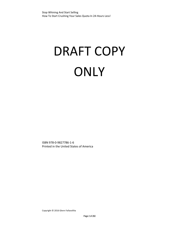# DRAFT COPY **ONLY**

ISBN 978‐0‐9827786‐1‐6 Printed in the United States of America

Copyright © <sup>2016</sup> Glenn Fallavollita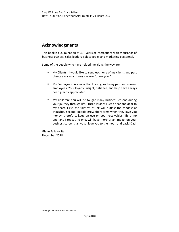# **Acknowledgments**

This book is a culmination of 30+ years of interactions with thousands of business owners, sales leaders, salespeople, and marketing personnel.

Some of the people who have helped me along the way are:

- **My Clients: I would like to send each one of my clients and past** clients a warm and very sincere "thank you."
- My Employees: A special thank you goes to my past and current employees. Your loyalty, insight, patience, and help have always been greatly appreciated.
- My Children: You will be taught many business lessons during your journey through life. Three lessons I keep near and dear to my heart. First, the faintest of ink will outlast the fondest of thoughts. Second, people grow short arms when they owe you money; therefore, keep an eye on your receivables. Third, no one, and I repeat no one, will have more of an impact on your business career than you. I love you to the moon and back! Dad

Glenn Fallavollita December 2018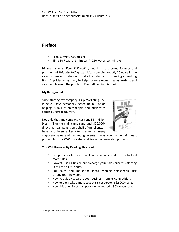### **Preface**

- Preface Word Count: **278**
- Time To Read: **1.1 minutes** @ 250 words per minute

Hi, my name is *Glenn Fallavollita*, and I am the proud founder and president of *Drip Marketing, Inc*. After spending exactly 20 years in the sales profession, I decided to start a sales and marketing consulting firm, Drip Marketing, Inc., to help business owners, sales leaders, and salespeople avoid the problems I've outlined in this book.

#### **My Background.**

Since starting my company, Drip Marketing, Inc. in 2002, I have personally logged 40,000+ hours helping 7,500+ of salespeople and businesses across our great country.

Not only that, my company has sent 85+ million (yes, million) e‐mail campaigns and 300,000+ direct mail campaigns on behalf of our clients. I have also been a keynote speaker at many



corporate sales and marketing events. I was even an on-air guest product host for QVC's private label line of home‐related products.

#### **You Will Discover By Reading This Book**

- Sample sales letters, e-mail introductions, and scripts to land more sales.
- Powerful sales tips to supercharge your sales success...starting in as little as 24‐hours.
- 50+ sales and marketing ideas winning salespeople use throughout the week.
- How to quickly separate your business from its competition.
- How one mistake almost cost this salesperson a \$2,000+ sale.
- How this one direct mail package generated a 90% open rate.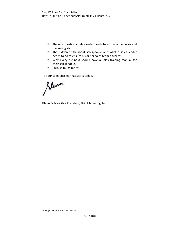- **The one question a sales leader needs to ask his or her sales and** marketing staff.
- **The hidden truth about salespeople and what a sales leader** needs to do to ensure his or her sales team's success.
- Why every business should have a sales training manual for their salespeople.
- **Plus, so much more!**

To your sales success that starts today,

Sleven

Glenn Fallavollita ‐ President, Drip Marketing, Inc.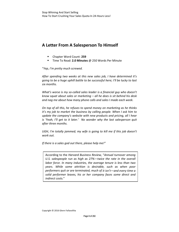# **A Letter From A Salesperson To Himself**

- Chapter Word Count: **259**
- Time To Read: **2.0 Minutes** @ 250 Words Per Minute

"*Yep*, *I'm pretty much screwed.* 

*After spending two weeks at this new sales job, I have determined it's going to be a huge uphill battle to be successful here; I'll be lucky to last six months.* 

*What's worse is my so‐called sales leader is a financial guy who doesn't know squat about sales or marketing – all he does is sit behind his desk and nag me about how many phone calls and sales I made each week.*

*On top of all this, he refuses to spend money on marketing as he thinks it's my job to market the business by calling people. When I ask him to update the company's website with new products and pricing, all I hear is 'Yeah, I'll get to it later.' No wonder why the last salesperson quit after three months.* 

*UGH, I'm totally jammed; my wife is going to kill me if this job doesn't work out.*

*If there is a sales god out there, please help me!"*

According to the *Harvard Business Review,* "*Annual turnover among U.S. salespeople run as high as 27%—twice the rate in the overall labor force. In many industries, the average tenure is less than two years. While some attrition is desirable, such as when poor performers quit or are terminated, much of it isn't—and every time a solid performer leaves, his or her company faces some direct and indirect costs.*"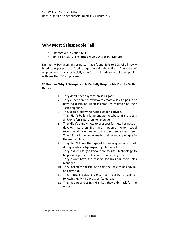# **Why Most Salespeople Fail**

- Chapter Word Count: **654**
- Time To Read: **2.6 Minutes** @ 250 Words Per Minute

During my 30+ years in business, I have found 33% to 50% of all newly hired salespeople are fired or quit within their first 12-months of employment; this is especially true for small, privately held companies with less than 50 employees.

#### **20 Reasons Why A Salesperson Is Partially Responsible For His Or Her Demise:**

- 1. They don't have any written sales goals.
- 2. They either don't know how to create a sales pipeline or have no discipline when it comes to maintaining their "sales pipeline."
- 3. They didn't follow their sales leader's advice.
- 4. They didn't build a large enough database of prospects and/or referral partners to leverage.
- 5. They didn't t know how to prospect for new business or develop partnerships with people who could recommend his or her company to someone they knew.
- 6. They didn't know what made their company unique in the marketplace.
- 7. They didn't know the type of business questions to ask during a sales call/prospecting phone call.
- 8. They didn't use (or know how to use) technology to help leverage their sales process or selling time.
- 9. They didn't have the respect (or like) for their sales manager.
- 10. They lacked the discipline to do the little things day‐in‐ and‐day‐out.
- 11. They lacked sales urgency, i.e., closing a sale or following‐up with a prospect/sales lead.
- 12. They had poor closing skills, i.e., they didn't ask for the order.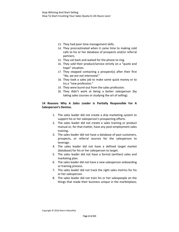- 13. They had poor time management skills.
- 14. They procrastinated when it came time to making cold calls to his or her database of prospects and/or referral partners.
- 15. They sat back and waited for the phone to ring.
- 16. They sold their product/service strictly on a "quote and hope" situation.
- 17. They stopped contacting a prospect(s) after their first "*No, we are not interested*."
- 18. They took a sales job to make some quick money or to try a "new profession."
- 19. They were burnt-out from the sales profession.
- 20. They didn't work at being a better salesperson (by taking sales courses or studying the art of selling).

#### **14 Reasons Why A** *Sales Leader* **Is Partially Responsible For A Salesperson's Demise.**

- 1. The sales leader did not create a drip marketing system to support his or her salesperson's prospecting efforts.
- 2. The sales leader did not create a sales training or product manual or, for that matter, have any post-employment sales training.
- 3. The sales leader did not have a database of past customers, prospects, or referral sources for the salesperson to leverage.
- 4. The sales leader did not have a defined target market (database) for his or her salesperson to target.
- 5. The sales leader did not have a formal (written) sales and marketing plan.
- 6. The sales leader did not have a new salesperson onboarding or training process.
- 7. The sales leader did not track the right sales metrics for his or her salesperson.
- 8. The sales leader did not train his or her salespeople on the things that made their business unique in the marketplace;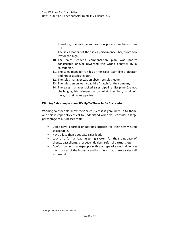therefore, the salesperson sold on price more times than not.

- 9. The sales leader set the "sales performance" bar/quota too low or too high.
- 10. The sales leader's compensation plan was poorly constructed and/or rewarded the wrong behavior by a salesperson.
- 11. The sales manager ran his or her sales team like a dictator and not as a sales leader.
- 12. The sales manager was an absentee sales leader.
- 13. The salesperson was a bad hire/match for the company.
- 14. The sales manager lacked sales pipeline discipline (by not challenging his salesperson on what they had, or didn't have, in their sales pipeline).

#### **Winning Salespeople Know It's Up To Them To Be Successful.**

Winning salespeople know their sales success is genuinely up to them. And this is especially critical to understand when you consider a large percentage of businesses that:

- **Don't have a formal onboarding process for their newly hired** salespeople.
- Have a less‐than‐adequate sales leader.
- Lack of a formal lead-nurturing system for their database of clients, past clients, prospects, dealers, referral partners, etc.
- Don't provide its salespeople with any type of sales training on the nuances of the industry and/or things that make a sales call successful.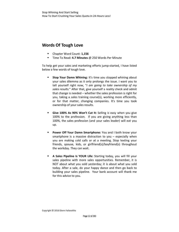# **Words Of Tough Love**

- Chapter Word Count: **1,156**
- Time To Read: **4.7 Minutes** @ 250 Words Per Minute

To help get your sales and marketing efforts jump‐started, I have listed below a few words of tough love.

- **Stop Your Damn Whining:** It's time you stopped whining about your sales dilemma as it only prolongs the issue. I want you to tell yourself right now, "*I am going to take ownership of my sales results.*" After that, give yourself a reality check and admit that change is needed – whether the sales profession is right for you, taking a sales training course(s), working more efficiently, or for that matter, changing companies. It's time you took ownership of your sales results.
- **Give 100% As 90% Won't Cut It:** Selling is easy when you give 100% to the profession. If you are giving anything less than 100%, the sales profession (and your sales leader) will eat you up.
- **Power Off Your Damn Smartphone:** You and I both know your smartphone is a massive distraction to you – especially when you are making cold calls or at a meeting. Stop texting your friends, spouse, kids, or girlfriend(s)/boyfriend(s) throughout the workday. They can wait.
- **A Sales Pipeline Is YOUR Life:** Starting today, you will fill your sales pipeline with more sales opportunities. Remember, it is NOT about what you sold yesterday; it is about what you sold today. After a sale, do your happy dance and then go back to building your sales pipeline. Your bank account will thank me for this advice to you.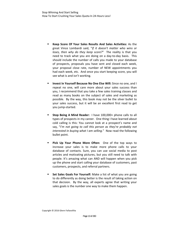- **Keep Score Of Your Sales Results And Sales Activities:** As the great Vince Lombardi said, "*If it doesn't matter who wins or loses, then why do they keep score?*" The reality is that you need to track what you are doing on a day-to-day basis. This should include the number of calls you made to your database of prospects, proposals you have sent and closed each week, your proposal close rate, number of NEW appointments you had each week, etc. And once you start keeping score, you will see what is and isn't working.
- **Invest In Yourself Because No One Else Will:** Since no one, and I repeat no one, will care more about your sales success than you, I recommend that you take a few sales training classes and read as many books on the subject of sales and marketing as possible. By the way, this book may not be the silver bullet to your sales success, but it will be an excellent first read to get you jump‐started.
- **Stop Being A Mind Reader:** I have 100,000+ phone calls to all types of prospects in my career. One thing I have learned about cold calling is this: You cannot look at a prospect's name and say, "*I'm not going to call this person as they're probably not interested in buying what I am selling.*" Now read the following bullet point.
- **Pick Up Your Phone More Often:**  One of the top ways to increase your sales is to make more phone calls to your database of contacts. Sure, you can use social media to post articles and motivating pictures, but you still need to talk with people. It's amazing what can AND will happen when you pick up the phone and start calling your database of customers, past customers, prospects, and referral partners.
- **Set Sales Goals For Yourself:** Make a list of what you are going to do differently as doing better is the result of taking action on that decision. By the way, all experts agree that writing your sales goals is the number one way to make them happen.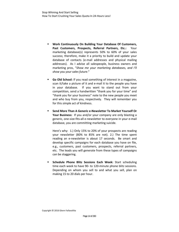- **Work Continuously On Building Your Database Of Customers, Past Customers, Prospects, Referral Partners, Etc.:** Your marketing database(s) represents 50% to 60% of your sales success; therefore, make it a priority to build and update your database of contacts (e‐mail addresses and physical mailing addresses). As I advise all salespeople, business owners and marketing pros, "*Show me your marketing databases, and I'll show you your sales future*."
- **Go Old School:** If you read something of interest in a magazine, scan it/take a picture of it and e‐mail it to the people you have in your database. If you want to stand out from your competition, send a handwritten "thank you for your time" and "thank you for your business" note to the new people you meet and who buy from you, respectively. They will remember you for this simple act of kindness.
- **Send More Than A Generic e‐Newsletter To Market Yourself Or Your Business:** If you and/or your company are only blasting a generic, one-size-fits-all e-newsletter to everyone in your e-mail database, you are committing marketing suicide.

Here's why: 1.) Only 15% to 20% of your prospects are reading your newsletter (80% to 85% are not). 2.) The time spent reading an e-newsletter is about 17 seconds. Be smart and develop specific campaigns for each database you have on file, e.g., customers, past customers, prospects, referral partners, etc. The leads you will generate from these types of campaigns can be staggering.

 **Schedule Phone Blitz Sessions Each Week:** Start scheduling time each week to have 90- to 120-minute phone blitz sessions. Depending on whom you sell to and what you sell, plan on making 15 to 20 dials per hour.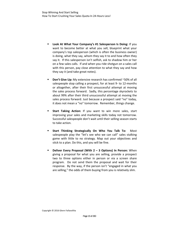- **Look At What Your Company's #1 Salesperson Is Doing:** If you want to become better at what you sell, blueprint what your company's top salesperson (which is often the business owner) is doing, what they say, whom they say it to and how often they say it. If this salesperson isn't selfish, ask to shadow him or her on a few sales calls. If and when you ride shotgun on a sales call with this person, pay close attention to what they say and how they say it (and take great notes).
- **Don't Give Up:** My extensive research has confirmed ~50% of all salespeople stop calling a prospect, for at least 9‐ to 12‐months or altogether, after their first unsuccessful attempt at moving the sales process forward. Sadly, this percentage skyrockets to about 99% after their third unsuccessful attempt at moving the sales process forward. Just because a prospect said "no" today, it does not mean a "no" tomorrow. Remember, things change.
- **Start Taking Action:** If you want to win more sales, start improving your sales and marketing skills today not tomorrow. Successful salespeople don't wait until their selling season starts to take action.
- **Start Thinking Strategically On Who You Talk To:** Most salespeople play the "let's see who we can call" sales stalking game with little to no strategy. Map out your objectives and stick to a plan. Do this, and you will be fine.
- **Deliver Every Proposal (With 2 – 3 Options) In Person:** When giving a proposal for what you are selling, provide a prospect two to three options either in person or via a screen share program. Do not send them the proposal and wait for their response. By the way, if the person isn't "engaged in what you are selling," the odds of them buying from you is relatively slim.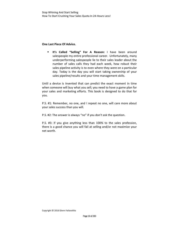#### **One Last Piece Of Advice.**

 **It's Called "Selling" For A Reason:** I have been around salespeople my entire professional career. Unfortunately, many underperforming salespeople lie to their sales leader about the number of sales calls they had each week, how robust their sales pipeline activity is to even where they were on a particular day. Today is the day you will start taking ownership of your sales pipeline/results and your time management skills.

Until a device is invented that can predict the exact moment in time when someone will buy what you sell; you need to have a game plan for your sales and marketing efforts. This book is designed to do that for you.

P.S. #1: Remember, no one, and I repeat no one, will care more about your sales success than you will.

P.S. #2: The answer is always "no" if you don't ask the question.

P.S. #3: If you give anything less than 100% to the sales profession, there is a good chance you will fail at selling and/or not maximize your net worth.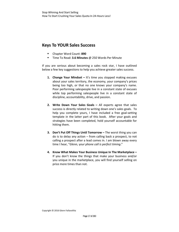# **Keys To YOUR Sales Success**

- Chapter Word Count: **890**
- Time To Read: **3.6 Minutes** @ 250 Words Per Minute

If you are serious about becoming a sales rock star, I have outlined below a few key suggestions to help you achieve greater sales success.

- **1. Change Your Mindset –** It's time you stopped making excuses about your sales territory, the economy, your company's prices being too high, or that no one knows your company's name. Poor performing salespeople live in a constant state of excuses while top performing salespeople live in a constant state of discipline, accountability, drive, and passion.
- **2. Write Down Your Sales Goals –** All experts agree that sales success is directly related to writing down one's sales goals. To help you complete yours, I have included a free goal-setting template in the latter part of this book. After your goals and strategies have been completed, hold yourself accountable for hitting them.
- **3. Don't Put Off Things Until Tomorrow –** The worst thing you can do is to delay any action – from calling back a prospect, to not calling a prospect after a lead comes in. I am blown away every time I hear, "*Glenn,* y*our phone call is perfect timing*."
- **4. Know What Makes Your Business Unique In The Marketplace –** If you don't know the things that make your business and/or you unique in the marketplace, you will find yourself selling on price more times than not.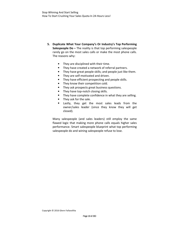- **5. Duplicate What Your Company's Or Industry's Top Performing Salespeople Do –** The reality is that top performing salespeople rarely go on the most sales calls or make the most phone calls. The reasons why:
	- **They are disciplined with their time.**
	- They have created a network of referral partners.
	- **They have great people skills; and people just like them.**
	- They are self-motivated and driven.
	- **They have efficient prospecting and people skills.**
	- **They know their competition cold.**
	- **They ask prospects great business questions.**
	- They have top-notch closing skills.
	- **They have complete confidence in what they are selling.**
	- They ask for the sale.
	- **E** Lastly, they get the most sales leads from the owner/sales leader (since they know they will get closed).

Many salespeople (and sales leaders) still employ the same flawed logic that making more phone calls equals higher sales performance. Smart salespeople blueprint what top performing salespeople do and wining salespeople refuse to lose.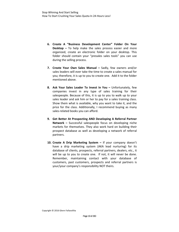- **6. Create A "Business Development Center" Folder On Your Desktop –** To help make the sales process easier and more organized, create an electronic folder on your desktop. This folder should contain your "presales sales tools" you can use during the selling process.
- **7. Create Your Own Sales Manual –** Sadly, few owners and/or sales leaders will ever take the time to create a sales manual for you; therefore, it is up to you to create one. Add it to the folder mentioned above.
- **8. Ask Your Sales Leader To Invest In You –** Unfortunately, few companies invest in any type of sales training for their salespeople. Because of this, it is up to you to walk up to your sales leader and ask him or her to pay for a sales training class. Show them what is available, why you want to take it, and the price for the class. Additionally, I recommend buying as many sales-related books you can afford.
- **9. Get Better At Prospecting AND Developing A Referral Partner Network –** Successful salespeople focus on developing niche markets for themselves. They also work hard on building their prospect database as well as developing a network of referral partners.
- **10. Create A Drip Marketing System –** If your company doesn't have a drip marketing system (AKA lead nurturing) for its database of clients, prospects, referral partners, dealers, etc., it will be up to you to create one. If not, it will never be done. Remember, maintaining contact with your database of customers, past customers, prospects and referral partners is your/your company's responsibility NOT theirs.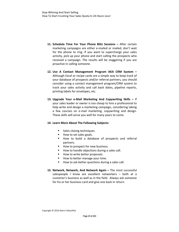- **11. Schedule Time For Your Phone Blitz Sessions –** After certain marketing campaigns are either e-mailed or mailed, don't wait for the phone to ring. If you want to supercharge your sales activity, pick up your phone and start calling the prospects who received a campaign. The results will be staggering if you are proactive in calling someone.
- **12. Use A Contact Management Program AKA CRM System –** Although Excel or recipe cards are a simple way to keep track of your database of prospects and/or referral partners, you should consider using a contact management program/CRM system to track your sales activity and call back dates, pipeline reports, printing labels for envelopes, etc.
- **13. Upgrade Your e‐Mail Marketing And Copywriting Skills –** If your sales leader or owner is too cheap to hire a professional to help write and design a marketing campaign, considering taking a few courses on e‐mail marketing, copywriting and design. These skills will serve you well for many years to come.

#### **14. Learn More About The Following Subjects:**

- Sales closing techniques.
- How to set sales goals.
- How to build a database of prospects and referral partners.
- How to prospect for new business.
- How to handle objections during a sales call.
- How to write better proposals.
- $\blacksquare$  How to better manage your time.
- How to ask better questions during a sales call.
- **15. Network, Network, And Network Again –** The most successful salespeople I know are excellent networkers – both at a customer's business as well as in the field. Always ask someone for his or her business card and give one back in return.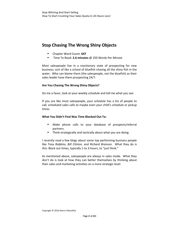# **Stop Chasing The Wrong Shiny Objects**

- Chapter Word Count: **647**
- Time To Read: **2.6 minutes** @ 250 Words Per Minute

Most salespeople live in a reactionary state of prospecting for new business; sort of like a school of bluefish chasing all the shiny fish in the water. Who can blame them (the salespeople, not the bluefish) as their sales leader have them prospecting 24/7.

#### **Are You Chasing The Wrong Shiny Objects?**

Do me a favor, look at your weekly schedule and tell me what you see.

If you are like most salespeople, your schedule has a list of people to call, scheduled sales calls to maybe even your child's schedule or pickup times.

#### **What You Didn't Find Was Time Blocked Out To:**

- Make phone calls to your database of prospects/referral partners.
- Think strategically and tactically about what you are doing.

I recently read a few blogs about some top performing business people like *Tony Robbins, Bill Clinton,* and *Richard Branson*. What they do is this: Block out times, typically 1‐to 3‐hours, to "just think."

As mentioned above, salespeople are always in sales mode. What they don't do is look at how they can better themselves by thinking about their sales and marketing activities on a more strategic level.